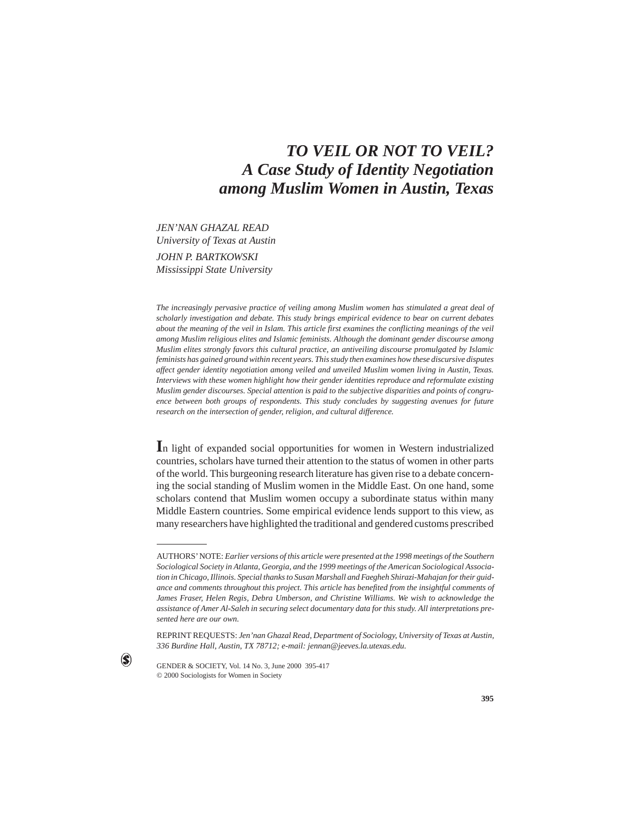# *TO VEIL OR NOT TO VEIL? A Case Study of Identity Negotiation among Muslim Women in Austin, Texas*

*JEN'NAN GHAZAL READ University of Texas at Austin JOHN P. BARTKOWSKI Mississippi State University*

*The increasingly pervasive practice of veiling among Muslim women has stimulated a great deal of scholarly investigation and debate. This study brings empirical evidence to bear on current debates about the meaning of the veil in Islam. This article first examines the conflicting meanings of the veil among Muslim religious elites and Islamic feminists. Although the dominant gender discourse among Muslim elites strongly favors this cultural practice, an antiveiling discourse promulgated by Islamic feminists has gained ground within recent years. This study then examines how these discursive disputes affect gender identity negotiation among veiled and unveiled Muslim women living in Austin, Texas. Interviews with these women highlight how their gender identities reproduce and reformulate existing Muslim gender discourses. Special attention is paid to the subjective disparities and points of congruence between both groups of respondents. This study concludes by suggesting avenues for future research on the intersection of gender, religion, and cultural difference.*

**I**n light of expanded social opportunities for women in Western industrialized countries, scholars have turned their attention to the status of women in other parts of the world. This burgeoning research literature has given rise to a debate concerning the social standing of Muslim women in the Middle East. On one hand, some scholars contend that Muslim women occupy a subordinate status within many Middle Eastern countries. Some empirical evidence lends support to this view, as many researchers have highlighted the traditional and gendered customs prescribed

REPRINT REQUESTS: *Jen'nan Ghazal Read, Department of Sociology, University of Texas at Austin, 336 Burdine Hall, Austin, TX 78712; e-mail: jennan@jeeves.la.utexas.edu.*



 $\left( \blacklozenge\right)$ 

AUTHORS'NOTE: *Earlier versions of this article were presented at the 1998 meetings of the Southern Sociological Society in Atlanta, Georgia, and the 1999 meetings of the American Sociological Association in Chicago, Illinois. Special thanks to Susan Marshall and Faegheh Shirazi-Mahajan for their guidance and comments throughout this project. This article has benefited from the insightful comments of James Fraser, Helen Regis, Debra Umberson, and Christine Williams. We wish to acknowledge the assistance of Amer Al-Saleh in securing select documentary data for this study. All interpretations presented here are our own.*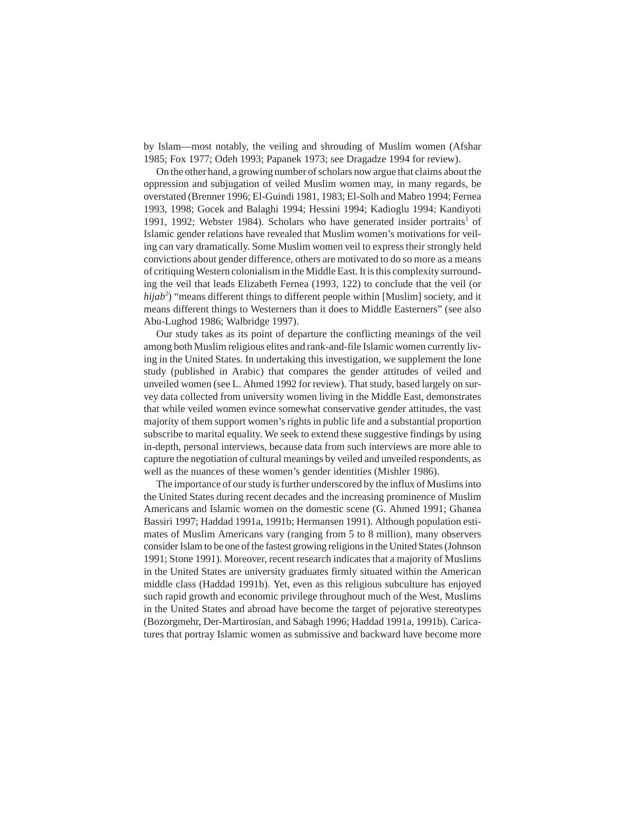by Islam—most notably, the veiling and shrouding of Muslim women (Afshar 1985; Fox 1977; Odeh 1993; Papanek 1973; see Dragadze 1994 for review).

On the other hand, a growing number of scholars now argue that claims about the oppression and subjugation of veiled Muslim women may, in many regards, be overstated (Brenner 1996; El-Guindi 1981, 1983; El-Solh and Mabro 1994; Fernea 1993, 1998; Gocek and Balaghi 1994; Hessini 1994; Kadioglu 1994; Kandiyoti 1991, 1992; Webster 1984). Scholars who have generated insider portraits<sup>1</sup> of Islamic gender relations have revealed that Muslim women's motivations for veiling can vary dramatically. Some Muslim women veil to express their strongly held convictions about gender difference, others are motivated to do so more as a means of critiquing Western colonialism in the Middle East. It is this complexity surrounding the veil that leads Elizabeth Fernea (1993, 122) to conclude that the veil (or hijab<sup>2</sup>) "means different things to different people within [Muslim] society, and it means different things to Westerners than it does to Middle Easterners" (see also Abu-Lughod 1986; Walbridge 1997).

Our study takes as its point of departure the conflicting meanings of the veil among both Muslim religious elites and rank-and-file Islamic women currently living in the United States. In undertaking this investigation, we supplement the lone study (published in Arabic) that compares the gender attitudes of veiled and unveiled women (see L. Ahmed 1992 for review). That study, based largely on survey data collected from university women living in the Middle East, demonstrates that while veiled women evince somewhat conservative gender attitudes, the vast majority of them support women's rights in public life and a substantial proportion subscribe to marital equality. We seek to extend these suggestive findings by using in-depth, personal interviews, because data from such interviews are more able to capture the negotiation of cultural meanings by veiled and unveiled respondents, as well as the nuances of these women's gender identities (Mishler 1986).

The importance of our study is further underscored by the influx of Muslims into the United States during recent decades and the increasing prominence of Muslim Americans and Islamic women on the domestic scene (G. Ahmed 1991; Ghanea Bassiri 1997; Haddad 1991a, 1991b; Hermansen 1991). Although population estimates of Muslim Americans vary (ranging from 5 to 8 million), many observers consider Islam to be one of the fastest growing religions in the United States (Johnson 1991; Stone 1991). Moreover, recent research indicates that a majority of Muslims in the United States are university graduates firmly situated within the American middle class (Haddad 1991b). Yet, even as this religious subculture has enjoyed such rapid growth and economic privilege throughout much of the West, Muslims in the United States and abroad have become the target of pejorative stereotypes (Bozorgmehr, Der-Martirosian, and Sabagh 1996; Haddad 1991a, 1991b). Caricatures that portray Islamic women as submissive and backward have become more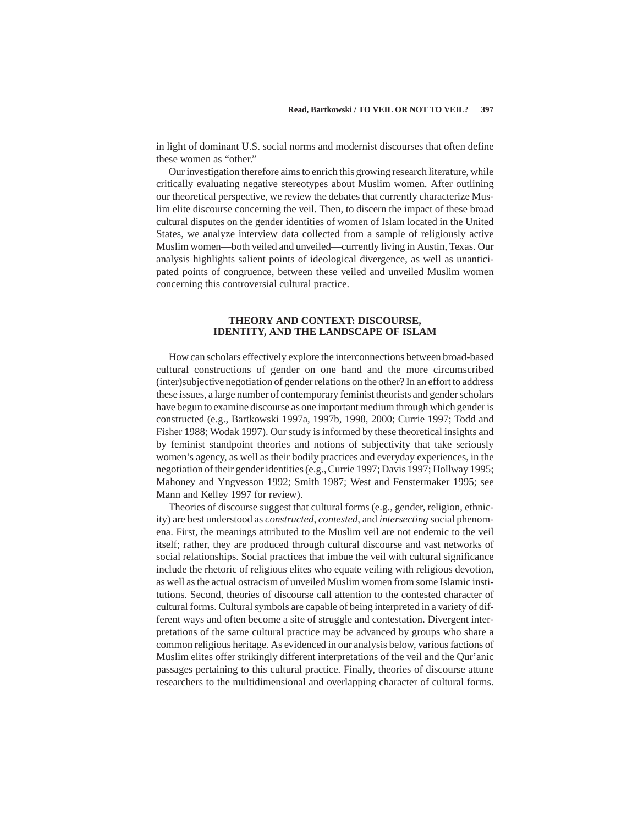in light of dominant U.S. social norms and modernist discourses that often define these women as "other."

Our investigation therefore aims to enrich this growing research literature, while critically evaluating negative stereotypes about Muslim women. After outlining our theoretical perspective, we review the debates that currently characterize Muslim elite discourse concerning the veil. Then, to discern the impact of these broad cultural disputes on the gender identities of women of Islam located in the United States, we analyze interview data collected from a sample of religiously active Muslim women—both veiled and unveiled—currently living in Austin, Texas. Our analysis highlights salient points of ideological divergence, as well as unanticipated points of congruence, between these veiled and unveiled Muslim women concerning this controversial cultural practice.

# **THEORY AND CONTEXT: DISCOURSE, IDENTITY, AND THE LANDSCAPE OF ISLAM**

How can scholars effectively explore the interconnections between broad-based cultural constructions of gender on one hand and the more circumscribed (inter)subjective negotiation of gender relations on the other? In an effort to address these issues, a large number of contemporary feminist theorists and gender scholars have begun to examine discourse as one important medium through which gender is constructed (e.g., Bartkowski 1997a, 1997b, 1998, 2000; Currie 1997; Todd and Fisher 1988; Wodak 1997). Our study is informed by these theoretical insights and by feminist standpoint theories and notions of subjectivity that take seriously women's agency, as well as their bodily practices and everyday experiences, in the negotiation of their gender identities (e.g., Currie 1997; Davis 1997; Hollway 1995; Mahoney and Yngvesson 1992; Smith 1987; West and Fenstermaker 1995; see Mann and Kelley 1997 for review).

Theories of discourse suggest that cultural forms (e.g., gender, religion, ethnicity) are best understood as *constructed*, *contested*, and *intersecting* social phenomena. First, the meanings attributed to the Muslim veil are not endemic to the veil itself; rather, they are produced through cultural discourse and vast networks of social relationships. Social practices that imbue the veil with cultural significance include the rhetoric of religious elites who equate veiling with religious devotion, as well as the actual ostracism of unveiled Muslim women from some Islamic institutions. Second, theories of discourse call attention to the contested character of cultural forms. Cultural symbols are capable of being interpreted in a variety of different ways and often become a site of struggle and contestation. Divergent interpretations of the same cultural practice may be advanced by groups who share a common religious heritage. As evidenced in our analysis below, various factions of Muslim elites offer strikingly different interpretations of the veil and the Qur'anic passages pertaining to this cultural practice. Finally, theories of discourse attune researchers to the multidimensional and overlapping character of cultural forms.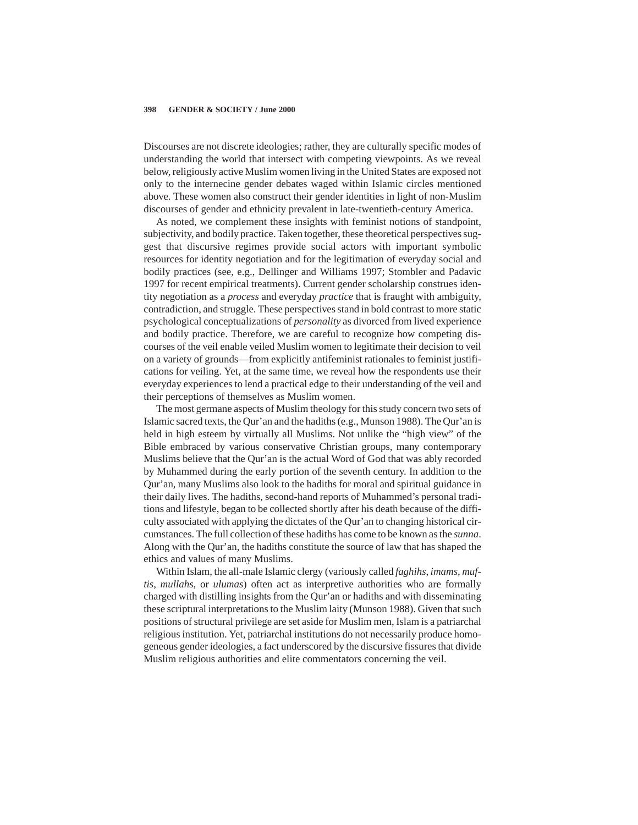Discourses are not discrete ideologies; rather, they are culturally specific modes of understanding the world that intersect with competing viewpoints. As we reveal below, religiously active Muslim women living in the United States are exposed not only to the internecine gender debates waged within Islamic circles mentioned above. These women also construct their gender identities in light of non-Muslim discourses of gender and ethnicity prevalent in late-twentieth-century America.

As noted, we complement these insights with feminist notions of standpoint, subjectivity, and bodily practice. Taken together, these theoretical perspectives suggest that discursive regimes provide social actors with important symbolic resources for identity negotiation and for the legitimation of everyday social and bodily practices (see, e.g., Dellinger and Williams 1997; Stombler and Padavic 1997 for recent empirical treatments). Current gender scholarship construes identity negotiation as a *process* and everyday *practice* that is fraught with ambiguity, contradiction, and struggle. These perspectives stand in bold contrast to more static psychological conceptualizations of *personality* as divorced from lived experience and bodily practice. Therefore, we are careful to recognize how competing discourses of the veil enable veiled Muslim women to legitimate their decision to veil on a variety of grounds—from explicitly antifeminist rationales to feminist justifications for veiling. Yet, at the same time, we reveal how the respondents use their everyday experiences to lend a practical edge to their understanding of the veil and their perceptions of themselves as Muslim women.

The most germane aspects of Muslim theology for this study concern two sets of Islamic sacred texts, the Qur'an and the hadiths (e.g., Munson 1988). The Qur'an is held in high esteem by virtually all Muslims. Not unlike the "high view" of the Bible embraced by various conservative Christian groups, many contemporary Muslims believe that the Qur'an is the actual Word of God that was ably recorded by Muhammed during the early portion of the seventh century. In addition to the Qur'an, many Muslims also look to the hadiths for moral and spiritual guidance in their daily lives. The hadiths, second-hand reports of Muhammed's personal traditions and lifestyle, began to be collected shortly after his death because of the difficulty associated with applying the dictates of the Qur'an to changing historical circumstances. The full collection of these hadiths has come to be known as the *sunna*. Along with the Qur'an, the hadiths constitute the source of law that has shaped the ethics and values of many Muslims.

Within Islam, the all-male Islamic clergy (variously called *faghihs*, *imams*, *muftis*, *mullahs*, or *ulumas*) often act as interpretive authorities who are formally charged with distilling insights from the Qur'an or hadiths and with disseminating these scriptural interpretations to the Muslim laity (Munson 1988). Given that such positions of structural privilege are set aside for Muslim men, Islam is a patriarchal religious institution. Yet, patriarchal institutions do not necessarily produce homogeneous gender ideologies, a fact underscored by the discursive fissures that divide Muslim religious authorities and elite commentators concerning the veil.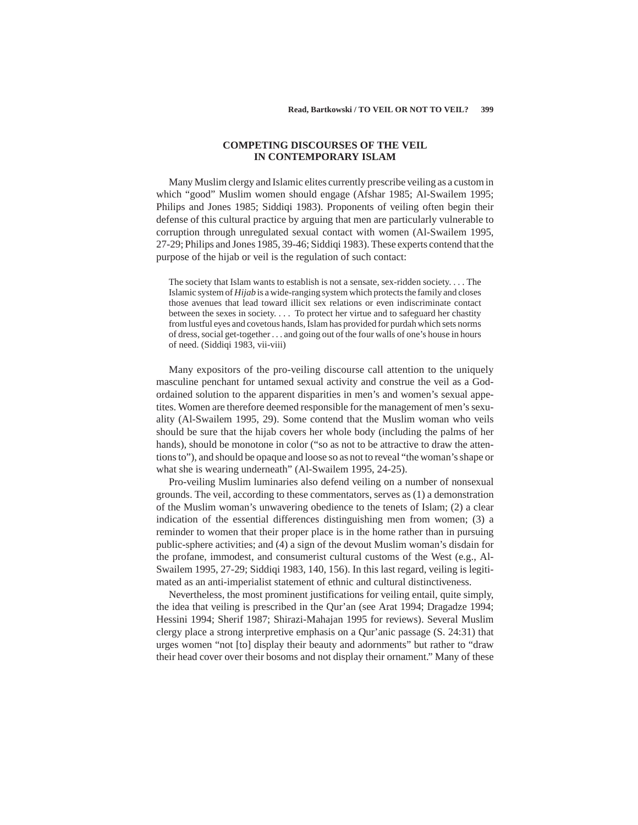# **COMPETING DISCOURSES OF THE VEIL IN CONTEMPORARY ISLAM**

Many Muslim clergy and Islamic elites currently prescribe veiling as a custom in which "good" Muslim women should engage (Afshar 1985; Al-Swailem 1995; Philips and Jones 1985; Siddiqi 1983). Proponents of veiling often begin their defense of this cultural practice by arguing that men are particularly vulnerable to corruption through unregulated sexual contact with women (Al-Swailem 1995, 27-29; Philips and Jones 1985, 39-46; Siddiqi 1983). These experts contend that the purpose of the hijab or veil is the regulation of such contact:

The society that Islam wants to establish is not a sensate, sex-ridden society. . . . The Islamic system of *Hijab* is a wide-ranging system which protects the family and closes those avenues that lead toward illicit sex relations or even indiscriminate contact between the sexes in society. . . . To protect her virtue and to safeguard her chastity from lustful eyes and covetous hands, Islam has provided for purdah which sets norms of dress, social get-together . . . and going out of the four walls of one's house in hours of need. (Siddiqi 1983, vii-viii)

Many expositors of the pro-veiling discourse call attention to the uniquely masculine penchant for untamed sexual activity and construe the veil as a Godordained solution to the apparent disparities in men's and women's sexual appetites. Women are therefore deemed responsible for the management of men's sexuality (Al-Swailem 1995, 29). Some contend that the Muslim woman who veils should be sure that the hijab covers her whole body (including the palms of her hands), should be monotone in color ("so as not to be attractive to draw the attentions to"), and should be opaque and loose so as not to reveal "the woman's shape or what she is wearing underneath" (Al-Swailem 1995, 24-25).

Pro-veiling Muslim luminaries also defend veiling on a number of nonsexual grounds. The veil, according to these commentators, serves as (1) a demonstration of the Muslim woman's unwavering obedience to the tenets of Islam; (2) a clear indication of the essential differences distinguishing men from women; (3) a reminder to women that their proper place is in the home rather than in pursuing public-sphere activities; and (4) a sign of the devout Muslim woman's disdain for the profane, immodest, and consumerist cultural customs of the West (e.g., Al-Swailem 1995, 27-29; Siddiqi 1983, 140, 156). In this last regard, veiling is legitimated as an anti-imperialist statement of ethnic and cultural distinctiveness.

Nevertheless, the most prominent justifications for veiling entail, quite simply, the idea that veiling is prescribed in the Qur'an (see Arat 1994; Dragadze 1994; Hessini 1994; Sherif 1987; Shirazi-Mahajan 1995 for reviews). Several Muslim clergy place a strong interpretive emphasis on a Qur'anic passage (S. 24:31) that urges women "not [to] display their beauty and adornments" but rather to "draw their head cover over their bosoms and not display their ornament." Many of these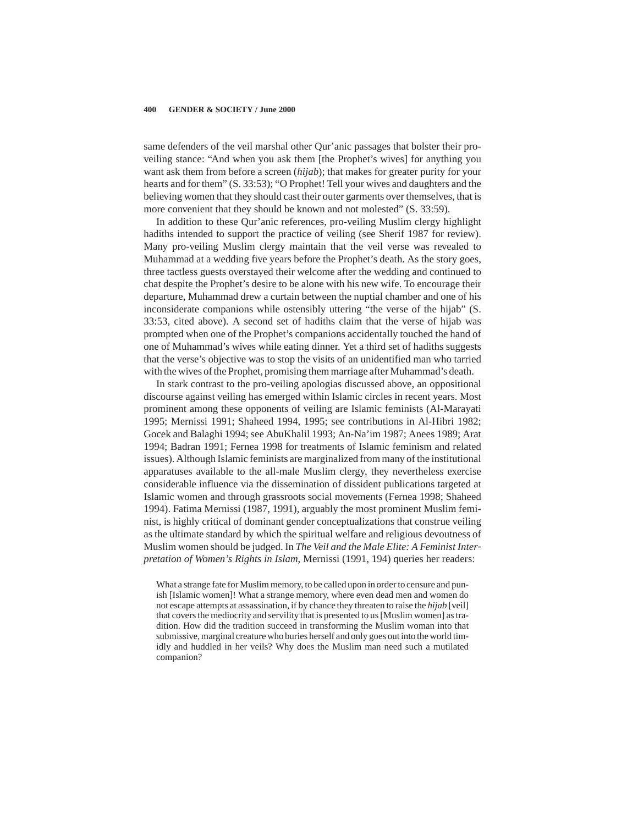same defenders of the veil marshal other Qur'anic passages that bolster their proveiling stance: "And when you ask them [the Prophet's wives] for anything you want ask them from before a screen (*hijab*); that makes for greater purity for your hearts and for them" (S. 33:53); "O Prophet! Tell your wives and daughters and the believing women that they should cast their outer garments over themselves, that is more convenient that they should be known and not molested" (S. 33:59).

In addition to these Qur'anic references, pro-veiling Muslim clergy highlight hadiths intended to support the practice of veiling (see Sherif 1987 for review). Many pro-veiling Muslim clergy maintain that the veil verse was revealed to Muhammad at a wedding five years before the Prophet's death. As the story goes, three tactless guests overstayed their welcome after the wedding and continued to chat despite the Prophet's desire to be alone with his new wife. To encourage their departure, Muhammad drew a curtain between the nuptial chamber and one of his inconsiderate companions while ostensibly uttering "the verse of the hijab" (S. 33:53, cited above). A second set of hadiths claim that the verse of hijab was prompted when one of the Prophet's companions accidentally touched the hand of one of Muhammad's wives while eating dinner. Yet a third set of hadiths suggests that the verse's objective was to stop the visits of an unidentified man who tarried with the wives of the Prophet, promising them marriage after Muhammad's death.

In stark contrast to the pro-veiling apologias discussed above, an oppositional discourse against veiling has emerged within Islamic circles in recent years. Most prominent among these opponents of veiling are Islamic feminists (Al-Marayati 1995; Mernissi 1991; Shaheed 1994, 1995; see contributions in Al-Hibri 1982; Gocek and Balaghi 1994; see AbuKhalil 1993; An-Na'im 1987; Anees 1989; Arat 1994; Badran 1991; Fernea 1998 for treatments of Islamic feminism and related issues). Although Islamic feminists are marginalized from many of the institutional apparatuses available to the all-male Muslim clergy, they nevertheless exercise considerable influence via the dissemination of dissident publications targeted at Islamic women and through grassroots social movements (Fernea 1998; Shaheed 1994). Fatima Mernissi (1987, 1991), arguably the most prominent Muslim feminist, is highly critical of dominant gender conceptualizations that construe veiling as the ultimate standard by which the spiritual welfare and religious devoutness of Muslim women should be judged. In *The Veil and the Male Elite: A Feminist Interpretation of Women's Rights in Islam*, Mernissi (1991, 194) queries her readers:

What a strange fate for Muslim memory, to be called upon in order to censure and punish [Islamic women]! What a strange memory, where even dead men and women do not escape attempts at assassination, if by chance they threaten to raise the *hijab* [veil] that covers the mediocrity and servility that is presented to us [Muslim women] as tradition. How did the tradition succeed in transforming the Muslim woman into that submissive, marginal creature who buries herself and only goes out into the world timidly and huddled in her veils? Why does the Muslim man need such a mutilated companion?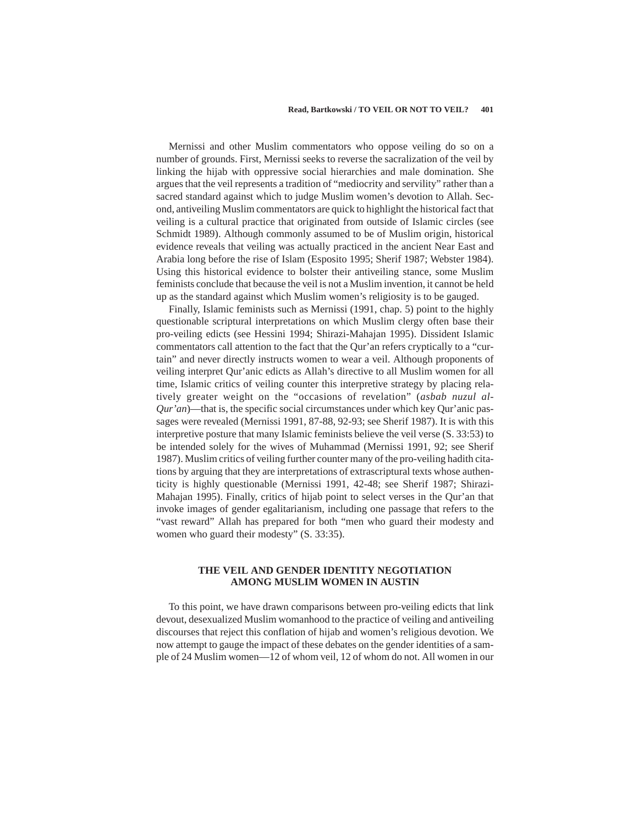Mernissi and other Muslim commentators who oppose veiling do so on a number of grounds. First, Mernissi seeks to reverse the sacralization of the veil by linking the hijab with oppressive social hierarchies and male domination. She argues that the veil represents a tradition of "mediocrity and servility" rather than a sacred standard against which to judge Muslim women's devotion to Allah. Second, antiveiling Muslim commentators are quick to highlight the historical fact that veiling is a cultural practice that originated from outside of Islamic circles (see Schmidt 1989). Although commonly assumed to be of Muslim origin, historical evidence reveals that veiling was actually practiced in the ancient Near East and Arabia long before the rise of Islam (Esposito 1995; Sherif 1987; Webster 1984). Using this historical evidence to bolster their antiveiling stance, some Muslim feminists conclude that because the veil is not a Muslim invention, it cannot be held up as the standard against which Muslim women's religiosity is to be gauged.

Finally, Islamic feminists such as Mernissi (1991, chap. 5) point to the highly questionable scriptural interpretations on which Muslim clergy often base their pro-veiling edicts (see Hessini 1994; Shirazi-Mahajan 1995). Dissident Islamic commentators call attention to the fact that the Qur'an refers cryptically to a "curtain" and never directly instructs women to wear a veil. Although proponents of veiling interpret Qur'anic edicts as Allah's directive to all Muslim women for all time, Islamic critics of veiling counter this interpretive strategy by placing relatively greater weight on the "occasions of revelation" (*asbab nuzul al-Qur'an*)—that is, the specific social circumstances under which key Qur'anic passages were revealed (Mernissi 1991, 87-88, 92-93; see Sherif 1987). It is with this interpretive posture that many Islamic feminists believe the veil verse (S. 33:53) to be intended solely for the wives of Muhammad (Mernissi 1991, 92; see Sherif 1987). Muslim critics of veiling further counter many of the pro-veiling hadith citations by arguing that they are interpretations of extrascriptural texts whose authenticity is highly questionable (Mernissi 1991, 42-48; see Sherif 1987; Shirazi-Mahajan 1995). Finally, critics of hijab point to select verses in the Qur'an that invoke images of gender egalitarianism, including one passage that refers to the "vast reward" Allah has prepared for both "men who guard their modesty and women who guard their modesty" (S. 33:35).

# **THE VEIL AND GENDER IDENTITY NEGOTIATION AMONG MUSLIM WOMEN IN AUSTIN**

To this point, we have drawn comparisons between pro-veiling edicts that link devout, desexualized Muslim womanhood to the practice of veiling and antiveiling discourses that reject this conflation of hijab and women's religious devotion. We now attempt to gauge the impact of these debates on the gender identities of a sample of 24 Muslim women—12 of whom veil, 12 of whom do not. All women in our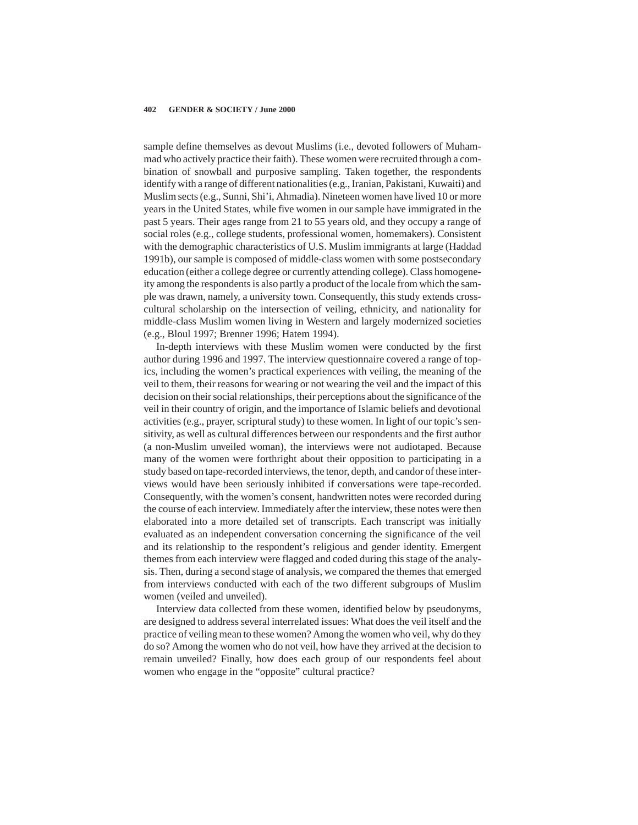sample define themselves as devout Muslims (i.e., devoted followers of Muhammad who actively practice their faith). These women were recruited through a combination of snowball and purposive sampling. Taken together, the respondents identify with a range of different nationalities (e.g., Iranian, Pakistani, Kuwaiti) and Muslim sects (e.g., Sunni, Shi'i, Ahmadia). Nineteen women have lived 10 or more years in the United States, while five women in our sample have immigrated in the past 5 years. Their ages range from 21 to 55 years old, and they occupy a range of social roles (e.g., college students, professional women, homemakers). Consistent with the demographic characteristics of U.S. Muslim immigrants at large (Haddad 1991b), our sample is composed of middle-class women with some postsecondary education (either a college degree or currently attending college). Class homogeneity among the respondents is also partly a product of the locale from which the sample was drawn, namely, a university town. Consequently, this study extends crosscultural scholarship on the intersection of veiling, ethnicity, and nationality for middle-class Muslim women living in Western and largely modernized societies (e.g., Bloul 1997; Brenner 1996; Hatem 1994).

In-depth interviews with these Muslim women were conducted by the first author during 1996 and 1997. The interview questionnaire covered a range of topics, including the women's practical experiences with veiling, the meaning of the veil to them, their reasons for wearing or not wearing the veil and the impact of this decision on their social relationships, their perceptions about the significance of the veil in their country of origin, and the importance of Islamic beliefs and devotional activities (e.g., prayer, scriptural study) to these women. In light of our topic's sensitivity, as well as cultural differences between our respondents and the first author (a non-Muslim unveiled woman), the interviews were not audiotaped. Because many of the women were forthright about their opposition to participating in a study based on tape-recorded interviews, the tenor, depth, and candor of these interviews would have been seriously inhibited if conversations were tape-recorded. Consequently, with the women's consent, handwritten notes were recorded during the course of each interview. Immediately after the interview, these notes were then elaborated into a more detailed set of transcripts. Each transcript was initially evaluated as an independent conversation concerning the significance of the veil and its relationship to the respondent's religious and gender identity. Emergent themes from each interview were flagged and coded during this stage of the analysis. Then, during a second stage of analysis, we compared the themes that emerged from interviews conducted with each of the two different subgroups of Muslim women (veiled and unveiled).

Interview data collected from these women, identified below by pseudonyms, are designed to address several interrelated issues: What does the veil itself and the practice of veiling mean to these women? Among the women who veil, why do they do so? Among the women who do not veil, how have they arrived at the decision to remain unveiled? Finally, how does each group of our respondents feel about women who engage in the "opposite" cultural practice?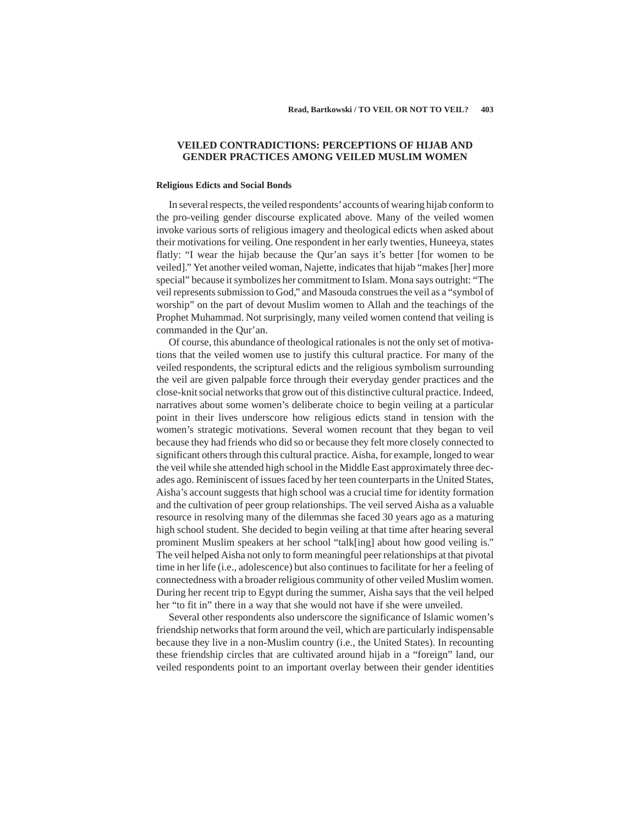# **VEILED CONTRADICTIONS: PERCEPTIONS OF HIJAB AND GENDER PRACTICES AMONG VEILED MUSLIM WOMEN**

# **Religious Edicts and Social Bonds**

In several respects, the veiled respondents'accounts of wearing hijab conform to the pro-veiling gender discourse explicated above. Many of the veiled women invoke various sorts of religious imagery and theological edicts when asked about their motivations for veiling. One respondent in her early twenties, Huneeya, states flatly: "I wear the hijab because the Qur'an says it's better [for women to be veiled]." Yet another veiled woman, Najette, indicates that hijab "makes [her] more special" because it symbolizes her commitment to Islam. Mona says outright: "The veil represents submission to God," and Masouda construes the veil as a "symbol of worship" on the part of devout Muslim women to Allah and the teachings of the Prophet Muhammad. Not surprisingly, many veiled women contend that veiling is commanded in the Qur'an.

Of course, this abundance of theological rationales is not the only set of motivations that the veiled women use to justify this cultural practice. For many of the veiled respondents, the scriptural edicts and the religious symbolism surrounding the veil are given palpable force through their everyday gender practices and the close-knit social networks that grow out of this distinctive cultural practice. Indeed, narratives about some women's deliberate choice to begin veiling at a particular point in their lives underscore how religious edicts stand in tension with the women's strategic motivations. Several women recount that they began to veil because they had friends who did so or because they felt more closely connected to significant others through this cultural practice. Aisha, for example, longed to wear the veil while she attended high school in the Middle East approximately three decades ago. Reminiscent of issues faced by her teen counterparts in the United States, Aisha's account suggests that high school was a crucial time for identity formation and the cultivation of peer group relationships. The veil served Aisha as a valuable resource in resolving many of the dilemmas she faced 30 years ago as a maturing high school student. She decided to begin veiling at that time after hearing several prominent Muslim speakers at her school "talk[ing] about how good veiling is." The veil helped Aisha not only to form meaningful peer relationships at that pivotal time in her life (i.e., adolescence) but also continues to facilitate for her a feeling of connectedness with a broader religious community of other veiled Muslim women. During her recent trip to Egypt during the summer, Aisha says that the veil helped her "to fit in" there in a way that she would not have if she were unveiled.

Several other respondents also underscore the significance of Islamic women's friendship networks that form around the veil, which are particularly indispensable because they live in a non-Muslim country (i.e., the United States). In recounting these friendship circles that are cultivated around hijab in a "foreign" land, our veiled respondents point to an important overlay between their gender identities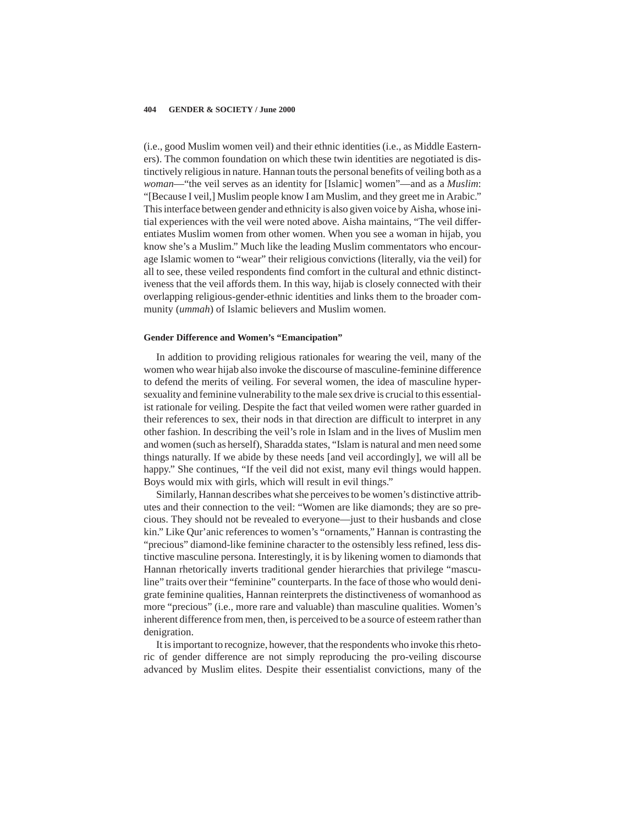(i.e., good Muslim women veil) and their ethnic identities (i.e., as Middle Easterners). The common foundation on which these twin identities are negotiated is distinctively religious in nature. Hannan touts the personal benefits of veiling both as a *woman*—"the veil serves as an identity for [Islamic] women"—and as a *Muslim*: "[Because I veil,] Muslim people know I am Muslim, and they greet me in Arabic." This interface between gender and ethnicity is also given voice by Aisha, whose initial experiences with the veil were noted above. Aisha maintains, "The veil differentiates Muslim women from other women. When you see a woman in hijab, you know she's a Muslim." Much like the leading Muslim commentators who encourage Islamic women to "wear" their religious convictions (literally, via the veil) for all to see, these veiled respondents find comfort in the cultural and ethnic distinctiveness that the veil affords them. In this way, hijab is closely connected with their overlapping religious-gender-ethnic identities and links them to the broader community (*ummah*) of Islamic believers and Muslim women.

#### **Gender Difference and Women's "Emancipation"**

In addition to providing religious rationales for wearing the veil, many of the women who wear hijab also invoke the discourse of masculine-feminine difference to defend the merits of veiling. For several women, the idea of masculine hypersexuality and feminine vulnerability to the male sex drive is crucial to this essentialist rationale for veiling. Despite the fact that veiled women were rather guarded in their references to sex, their nods in that direction are difficult to interpret in any other fashion. In describing the veil's role in Islam and in the lives of Muslim men and women (such as herself), Sharadda states, "Islam is natural and men need some things naturally. If we abide by these needs [and veil accordingly], we will all be happy." She continues, "If the veil did not exist, many evil things would happen. Boys would mix with girls, which will result in evil things."

Similarly, Hannan describes what she perceives to be women's distinctive attributes and their connection to the veil: "Women are like diamonds; they are so precious. They should not be revealed to everyone—just to their husbands and close kin." Like Qur'anic references to women's "ornaments," Hannan is contrasting the "precious" diamond-like feminine character to the ostensibly less refined, less distinctive masculine persona. Interestingly, it is by likening women to diamonds that Hannan rhetorically inverts traditional gender hierarchies that privilege "masculine" traits over their "feminine" counterparts. In the face of those who would denigrate feminine qualities, Hannan reinterprets the distinctiveness of womanhood as more "precious" (i.e., more rare and valuable) than masculine qualities. Women's inherent difference from men, then, is perceived to be a source of esteem rather than denigration.

It is important to recognize, however, that the respondents who invoke this rhetoric of gender difference are not simply reproducing the pro-veiling discourse advanced by Muslim elites. Despite their essentialist convictions, many of the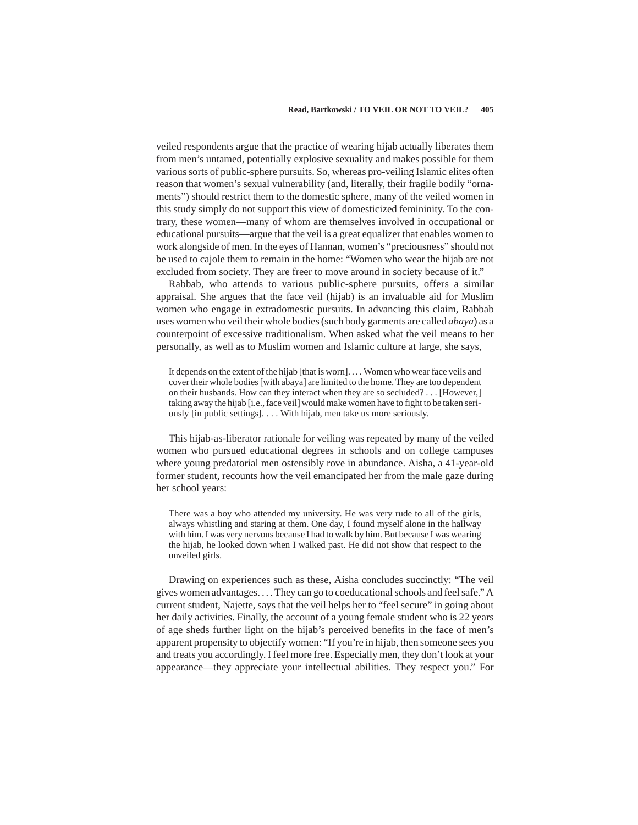veiled respondents argue that the practice of wearing hijab actually liberates them from men's untamed, potentially explosive sexuality and makes possible for them various sorts of public-sphere pursuits. So, whereas pro-veiling Islamic elites often reason that women's sexual vulnerability (and, literally, their fragile bodily "ornaments") should restrict them to the domestic sphere, many of the veiled women in this study simply do not support this view of domesticized femininity. To the contrary, these women—many of whom are themselves involved in occupational or educational pursuits—argue that the veil is a great equalizer that enables women to work alongside of men. In the eyes of Hannan, women's "preciousness" should not be used to cajole them to remain in the home: "Women who wear the hijab are not excluded from society. They are freer to move around in society because of it."

Rabbab, who attends to various public-sphere pursuits, offers a similar appraisal. She argues that the face veil (hijab) is an invaluable aid for Muslim women who engage in extradomestic pursuits. In advancing this claim, Rabbab uses women who veil their whole bodies (such body garments are called *abaya*) as a counterpoint of excessive traditionalism. When asked what the veil means to her personally, as well as to Muslim women and Islamic culture at large, she says,

It depends on the extent of the hijab [that is worn]....Women who wear face veils and cover their whole bodies [with abaya] are limited to the home. They are too dependent on their husbands. How can they interact when they are so secluded? . . . [However,] taking away the hijab [i.e., face veil] would make women have to fight to be taken seriously [in public settings]. . . . With hijab, men take us more seriously.

This hijab-as-liberator rationale for veiling was repeated by many of the veiled women who pursued educational degrees in schools and on college campuses where young predatorial men ostensibly rove in abundance. Aisha, a 41-year-old former student, recounts how the veil emancipated her from the male gaze during her school years:

There was a boy who attended my university. He was very rude to all of the girls, always whistling and staring at them. One day, I found myself alone in the hallway with him. I was very nervous because I had to walk by him. But because I was wearing the hijab, he looked down when I walked past. He did not show that respect to the unveiled girls.

Drawing on experiences such as these, Aisha concludes succinctly: "The veil gives women advantages. . . . They can go to coeducational schools and feel safe." A current student, Najette, says that the veil helps her to "feel secure" in going about her daily activities. Finally, the account of a young female student who is 22 years of age sheds further light on the hijab's perceived benefits in the face of men's apparent propensity to objectify women: "If you're in hijab, then someone sees you and treats you accordingly. I feel more free. Especially men, they don't look at your appearance—they appreciate your intellectual abilities. They respect you." For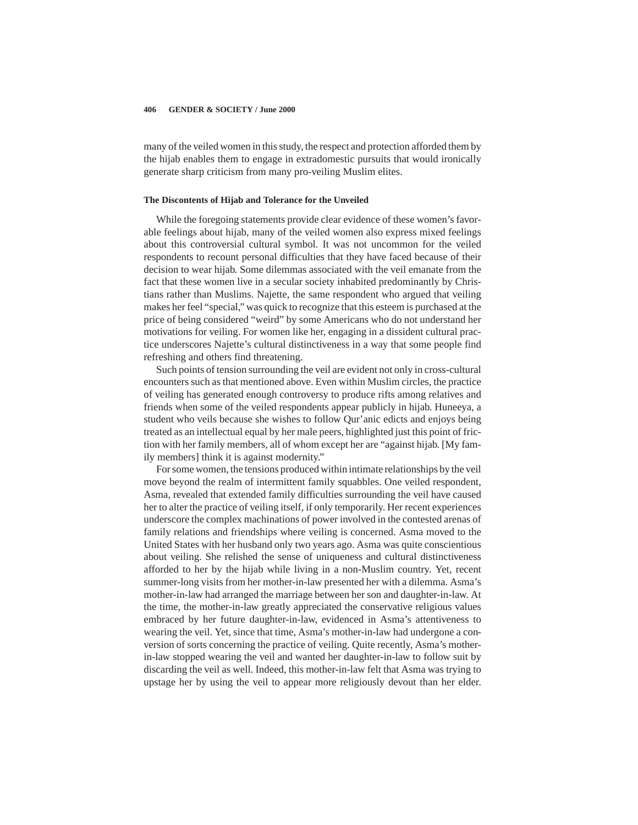many of the veiled women in this study, the respect and protection afforded them by the hijab enables them to engage in extradomestic pursuits that would ironically generate sharp criticism from many pro-veiling Muslim elites.

## **The Discontents of Hijab and Tolerance for the Unveiled**

While the foregoing statements provide clear evidence of these women's favorable feelings about hijab, many of the veiled women also express mixed feelings about this controversial cultural symbol. It was not uncommon for the veiled respondents to recount personal difficulties that they have faced because of their decision to wear hijab. Some dilemmas associated with the veil emanate from the fact that these women live in a secular society inhabited predominantly by Christians rather than Muslims. Najette, the same respondent who argued that veiling makes her feel "special," was quick to recognize that this esteem is purchased at the price of being considered "weird" by some Americans who do not understand her motivations for veiling. For women like her, engaging in a dissident cultural practice underscores Najette's cultural distinctiveness in a way that some people find refreshing and others find threatening.

Such points of tension surrounding the veil are evident not only in cross-cultural encounters such as that mentioned above. Even within Muslim circles, the practice of veiling has generated enough controversy to produce rifts among relatives and friends when some of the veiled respondents appear publicly in hijab. Huneeya, a student who veils because she wishes to follow Qur'anic edicts and enjoys being treated as an intellectual equal by her male peers, highlighted just this point of friction with her family members, all of whom except her are "against hijab. [My family members] think it is against modernity."

For some women, the tensions produced within intimate relationships by the veil move beyond the realm of intermittent family squabbles. One veiled respondent, Asma, revealed that extended family difficulties surrounding the veil have caused her to alter the practice of veiling itself, if only temporarily. Her recent experiences underscore the complex machinations of power involved in the contested arenas of family relations and friendships where veiling is concerned. Asma moved to the United States with her husband only two years ago. Asma was quite conscientious about veiling. She relished the sense of uniqueness and cultural distinctiveness afforded to her by the hijab while living in a non-Muslim country. Yet, recent summer-long visits from her mother-in-law presented her with a dilemma. Asma's mother-in-law had arranged the marriage between her son and daughter-in-law. At the time, the mother-in-law greatly appreciated the conservative religious values embraced by her future daughter-in-law, evidenced in Asma's attentiveness to wearing the veil. Yet, since that time, Asma's mother-in-law had undergone a conversion of sorts concerning the practice of veiling. Quite recently, Asma's motherin-law stopped wearing the veil and wanted her daughter-in-law to follow suit by discarding the veil as well. Indeed, this mother-in-law felt that Asma was trying to upstage her by using the veil to appear more religiously devout than her elder.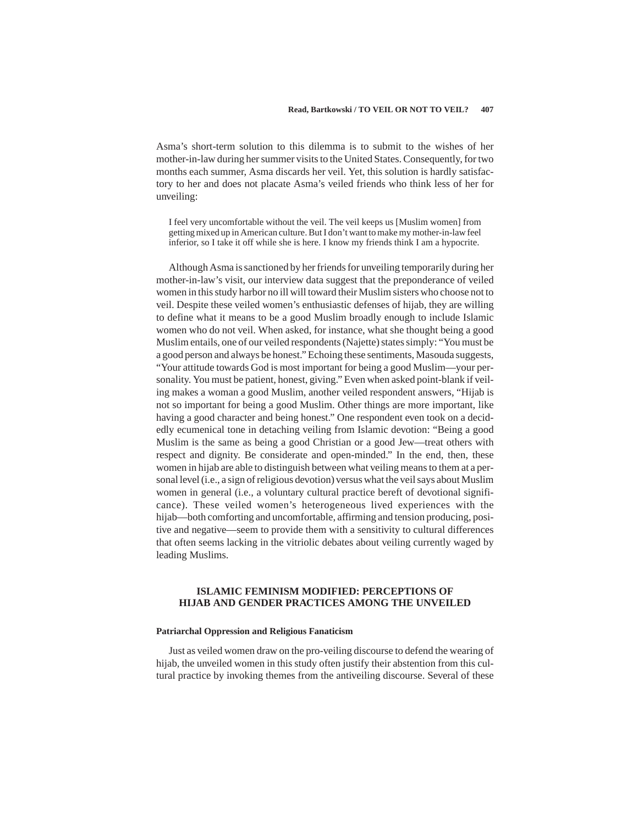Asma's short-term solution to this dilemma is to submit to the wishes of her mother-in-law during her summer visits to the United States. Consequently, for two months each summer, Asma discards her veil. Yet, this solution is hardly satisfactory to her and does not placate Asma's veiled friends who think less of her for unveiling:

I feel very uncomfortable without the veil. The veil keeps us [Muslim women] from getting mixed up in American culture. But I don't want to make my mother-in-law feel inferior, so I take it off while she is here. I know my friends think I am a hypocrite.

Although Asma is sanctioned by her friends for unveiling temporarily during her mother-in-law's visit, our interview data suggest that the preponderance of veiled women in this study harbor no ill will toward their Muslim sisters who choose not to veil. Despite these veiled women's enthusiastic defenses of hijab, they are willing to define what it means to be a good Muslim broadly enough to include Islamic women who do not veil. When asked, for instance, what she thought being a good Muslim entails, one of our veiled respondents (Najette) states simply: "You must be a good person and always be honest." Echoing these sentiments, Masouda suggests, "Your attitude towards God is most important for being a good Muslim—your personality. You must be patient, honest, giving." Even when asked point-blank if veiling makes a woman a good Muslim, another veiled respondent answers, "Hijab is not so important for being a good Muslim. Other things are more important, like having a good character and being honest." One respondent even took on a decidedly ecumenical tone in detaching veiling from Islamic devotion: "Being a good Muslim is the same as being a good Christian or a good Jew—treat others with respect and dignity. Be considerate and open-minded." In the end, then, these women in hijab are able to distinguish between what veiling means to them at a personal level (i.e., a sign of religious devotion) versus what the veil says about Muslim women in general (i.e., a voluntary cultural practice bereft of devotional significance). These veiled women's heterogeneous lived experiences with the hijab—both comforting and uncomfortable, affirming and tension producing, positive and negative—seem to provide them with a sensitivity to cultural differences that often seems lacking in the vitriolic debates about veiling currently waged by leading Muslims.

# **ISLAMIC FEMINISM MODIFIED: PERCEPTIONS OF HIJAB AND GENDER PRACTICES AMONG THE UNVEILED**

#### **Patriarchal Oppression and Religious Fanaticism**

Just as veiled women draw on the pro-veiling discourse to defend the wearing of hijab, the unveiled women in this study often justify their abstention from this cultural practice by invoking themes from the antiveiling discourse. Several of these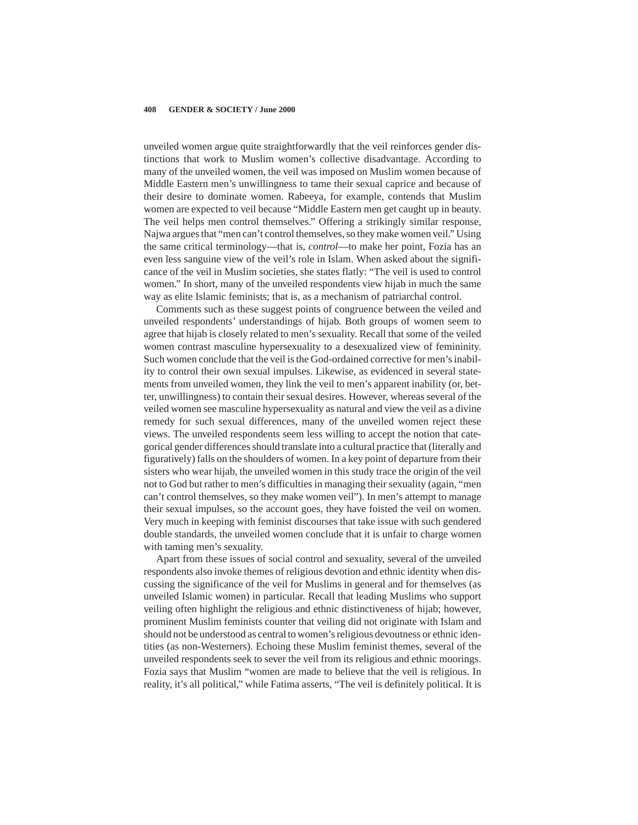unveiled women argue quite straightforwardly that the veil reinforces gender distinctions that work to Muslim women's collective disadvantage. According to many of the unveiled women, the veil was imposed on Muslim women because of Middle Eastern men's unwillingness to tame their sexual caprice and because of their desire to dominate women. Rabeeya, for example, contends that Muslim women are expected to veil because "Middle Eastern men get caught up in beauty. The veil helps men control themselves." Offering a strikingly similar response, Najwa argues that "men can't control themselves, so they make women veil." Using the same critical terminology—that is, *control*—to make her point, Fozia has an even less sanguine view of the veil's role in Islam. When asked about the significance of the veil in Muslim societies, she states flatly: "The veil is used to control women." In short, many of the unveiled respondents view hijab in much the same way as elite Islamic feminists; that is, as a mechanism of patriarchal control.

Comments such as these suggest points of congruence between the veiled and unveiled respondents' understandings of hijab. Both groups of women seem to agree that hijab is closely related to men's sexuality. Recall that some of the veiled women contrast masculine hypersexuality to a desexualized view of femininity. Such women conclude that the veil is the God-ordained corrective for men's inability to control their own sexual impulses. Likewise, as evidenced in several statements from unveiled women, they link the veil to men's apparent inability (or, better, unwillingness) to contain their sexual desires. However, whereas several of the veiled women see masculine hypersexuality as natural and view the veil as a divine remedy for such sexual differences, many of the unveiled women reject these views. The unveiled respondents seem less willing to accept the notion that categorical gender differences should translate into a cultural practice that (literally and figuratively) falls on the shoulders of women. In a key point of departure from their sisters who wear hijab, the unveiled women in this study trace the origin of the veil not to God but rather to men's difficulties in managing their sexuality (again, "men can't control themselves, so they make women veil"). In men's attempt to manage their sexual impulses, so the account goes, they have foisted the veil on women. Very much in keeping with feminist discourses that take issue with such gendered double standards, the unveiled women conclude that it is unfair to charge women with taming men's sexuality.

Apart from these issues of social control and sexuality, several of the unveiled respondents also invoke themes of religious devotion and ethnic identity when discussing the significance of the veil for Muslims in general and for themselves (as unveiled Islamic women) in particular. Recall that leading Muslims who support veiling often highlight the religious and ethnic distinctiveness of hijab; however, prominent Muslim feminists counter that veiling did not originate with Islam and should not be understood as central to women's religious devoutness or ethnic identities (as non-Westerners). Echoing these Muslim feminist themes, several of the unveiled respondents seek to sever the veil from its religious and ethnic moorings. Fozia says that Muslim "women are made to believe that the veil is religious. In reality, it's all political," while Fatima asserts, "The veil is definitely political. It is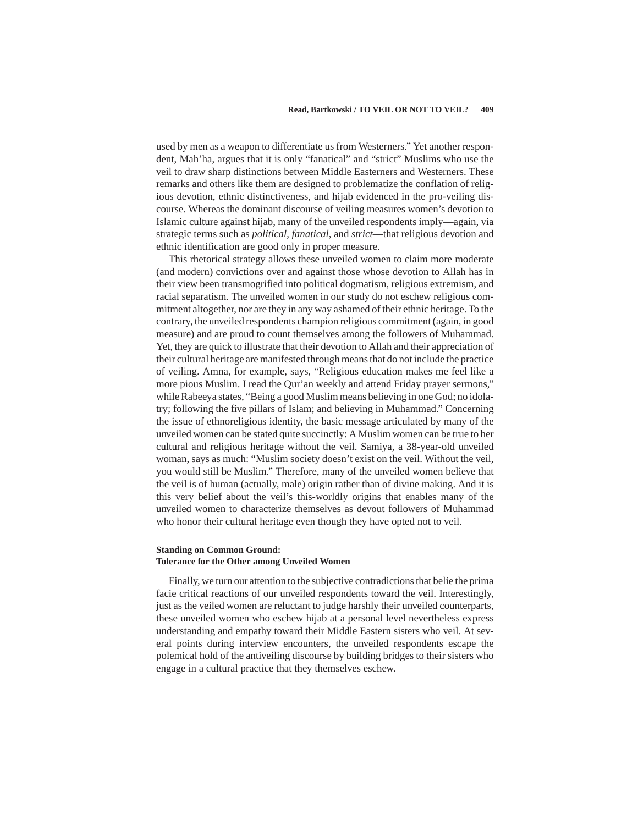used by men as a weapon to differentiate us from Westerners." Yet another respondent, Mah'ha, argues that it is only "fanatical" and "strict" Muslims who use the veil to draw sharp distinctions between Middle Easterners and Westerners. These remarks and others like them are designed to problematize the conflation of religious devotion, ethnic distinctiveness, and hijab evidenced in the pro-veiling discourse. Whereas the dominant discourse of veiling measures women's devotion to Islamic culture against hijab, many of the unveiled respondents imply—again, via strategic terms such as *political*, *fanatical*, and *strict*—that religious devotion and ethnic identification are good only in proper measure.

This rhetorical strategy allows these unveiled women to claim more moderate (and modern) convictions over and against those whose devotion to Allah has in their view been transmogrified into political dogmatism, religious extremism, and racial separatism. The unveiled women in our study do not eschew religious commitment altogether, nor are they in any way ashamed of their ethnic heritage. To the contrary, the unveiled respondents champion religious commitment (again, in good measure) and are proud to count themselves among the followers of Muhammad. Yet, they are quick to illustrate that their devotion to Allah and their appreciation of their cultural heritage are manifested through means that do not include the practice of veiling. Amna, for example, says, "Religious education makes me feel like a more pious Muslim. I read the Qur'an weekly and attend Friday prayer sermons," while Rabeeya states, "Being a good Muslim means believing in one God; no idolatry; following the five pillars of Islam; and believing in Muhammad." Concerning the issue of ethnoreligious identity, the basic message articulated by many of the unveiled women can be stated quite succinctly: A Muslim women can be true to her cultural and religious heritage without the veil. Samiya, a 38-year-old unveiled woman, says as much: "Muslim society doesn't exist on the veil. Without the veil, you would still be Muslim." Therefore, many of the unveiled women believe that the veil is of human (actually, male) origin rather than of divine making. And it is this very belief about the veil's this-worldly origins that enables many of the unveiled women to characterize themselves as devout followers of Muhammad who honor their cultural heritage even though they have opted not to veil.

# **Standing on Common Ground: Tolerance for the Other among Unveiled Women**

Finally, we turn our attention to the subjective contradictions that belie the prima facie critical reactions of our unveiled respondents toward the veil. Interestingly, just as the veiled women are reluctant to judge harshly their unveiled counterparts, these unveiled women who eschew hijab at a personal level nevertheless express understanding and empathy toward their Middle Eastern sisters who veil. At several points during interview encounters, the unveiled respondents escape the polemical hold of the antiveiling discourse by building bridges to their sisters who engage in a cultural practice that they themselves eschew.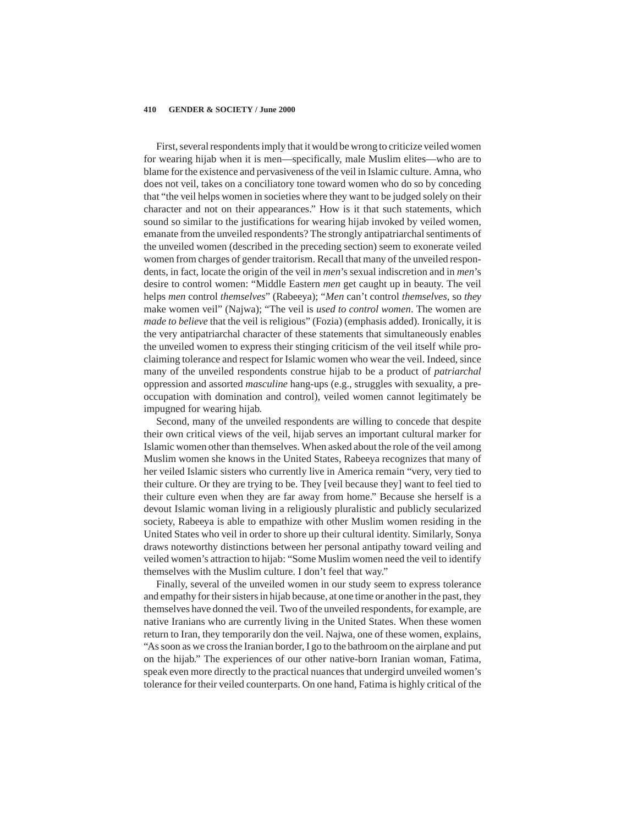First, several respondents imply that it would be wrong to criticize veiled women for wearing hijab when it is men—specifically, male Muslim elites—who are to blame for the existence and pervasiveness of the veil in Islamic culture. Amna, who does not veil, takes on a conciliatory tone toward women who do so by conceding that "the veil helps women in societies where they want to be judged solely on their character and not on their appearances." How is it that such statements, which sound so similar to the justifications for wearing hijab invoked by veiled women, emanate from the unveiled respondents? The strongly antipatriarchal sentiments of the unveiled women (described in the preceding section) seem to exonerate veiled women from charges of gender traitorism. Recall that many of the unveiled respondents, in fact, locate the origin of the veil in *men*'s sexual indiscretion and in *men*'s desire to control women: "Middle Eastern *men* get caught up in beauty. The veil helps *men* control *themselves*" (Rabeeya); "*Men* can't control *themselves*, so *they* make women veil" (Najwa); "The veil is *used to control women*. The women are *made to believe* that the veil is religious" (Fozia) (emphasis added). Ironically, it is the very antipatriarchal character of these statements that simultaneously enables the unveiled women to express their stinging criticism of the veil itself while proclaiming tolerance and respect for Islamic women who wear the veil. Indeed, since many of the unveiled respondents construe hijab to be a product of *patriarchal* oppression and assorted *masculine* hang-ups (e.g., struggles with sexuality, a preoccupation with domination and control), veiled women cannot legitimately be impugned for wearing hijab.

Second, many of the unveiled respondents are willing to concede that despite their own critical views of the veil, hijab serves an important cultural marker for Islamic women other than themselves. When asked about the role of the veil among Muslim women she knows in the United States, Rabeeya recognizes that many of her veiled Islamic sisters who currently live in America remain "very, very tied to their culture. Or they are trying to be. They [veil because they] want to feel tied to their culture even when they are far away from home." Because she herself is a devout Islamic woman living in a religiously pluralistic and publicly secularized society, Rabeeya is able to empathize with other Muslim women residing in the United States who veil in order to shore up their cultural identity. Similarly, Sonya draws noteworthy distinctions between her personal antipathy toward veiling and veiled women's attraction to hijab: "Some Muslim women need the veil to identify themselves with the Muslim culture. I don't feel that way."

Finally, several of the unveiled women in our study seem to express tolerance and empathy for their sisters in hijab because, at one time or another in the past, they themselves have donned the veil. Two of the unveiled respondents, for example, are native Iranians who are currently living in the United States. When these women return to Iran, they temporarily don the veil. Najwa, one of these women, explains, "As soon as we cross the Iranian border, I go to the bathroom on the airplane and put on the hijab." The experiences of our other native-born Iranian woman, Fatima, speak even more directly to the practical nuances that undergird unveiled women's tolerance for their veiled counterparts. On one hand, Fatima is highly critical of the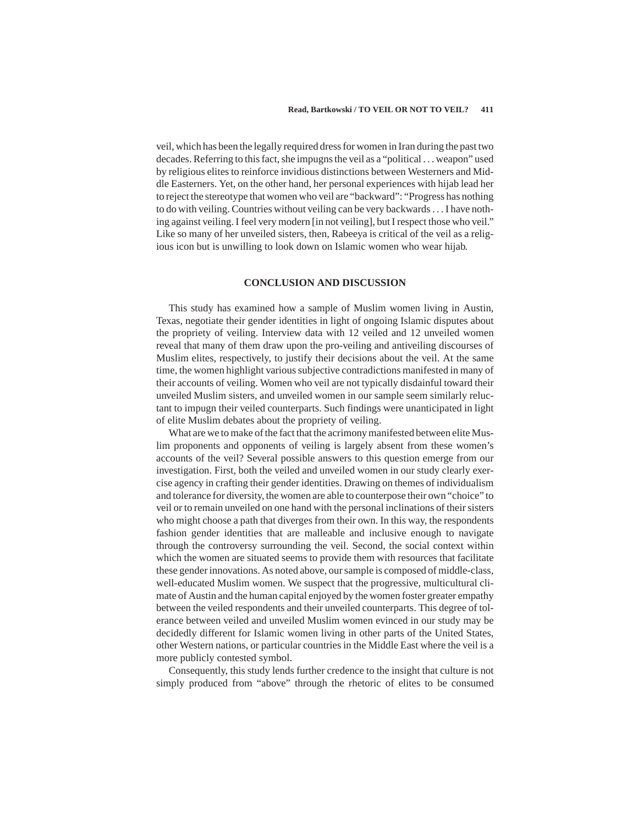veil, which has been the legally required dress for women in Iran during the past two decades. Referring to this fact, she impugns the veil as a "political... weapon" used by religious elites to reinforce invidious distinctions between Westerners and Middle Easterners. Yet, on the other hand, her personal experiences with hijab lead her to reject the stereotype that women who veil are "backward": "Progress has nothing to do with veiling. Countries without veiling can be very backwards . . . I have nothing against veiling. I feel very modern [in not veiling], but I respect those who veil." Like so many of her unveiled sisters, then, Rabeeya is critical of the veil as a religious icon but is unwilling to look down on Islamic women who wear hijab.

# **CONCLUSION AND DISCUSSION**

This study has examined how a sample of Muslim women living in Austin, Texas, negotiate their gender identities in light of ongoing Islamic disputes about the propriety of veiling. Interview data with 12 veiled and 12 unveiled women reveal that many of them draw upon the pro-veiling and antiveiling discourses of Muslim elites, respectively, to justify their decisions about the veil. At the same time, the women highlight various subjective contradictions manifested in many of their accounts of veiling. Women who veil are not typically disdainful toward their unveiled Muslim sisters, and unveiled women in our sample seem similarly reluctant to impugn their veiled counterparts. Such findings were unanticipated in light of elite Muslim debates about the propriety of veiling.

What are we to make of the fact that the acrimony manifested between elite Muslim proponents and opponents of veiling is largely absent from these women's accounts of the veil? Several possible answers to this question emerge from our investigation. First, both the veiled and unveiled women in our study clearly exercise agency in crafting their gender identities. Drawing on themes of individualism and tolerance for diversity, the women are able to counterpose their own "choice" to veil or to remain unveiled on one hand with the personal inclinations of their sisters who might choose a path that diverges from their own. In this way, the respondents fashion gender identities that are malleable and inclusive enough to navigate through the controversy surrounding the veil. Second, the social context within which the women are situated seems to provide them with resources that facilitate these gender innovations. As noted above, our sample is composed of middle-class, well-educated Muslim women. We suspect that the progressive, multicultural climate of Austin and the human capital enjoyed by the women foster greater empathy between the veiled respondents and their unveiled counterparts. This degree of tolerance between veiled and unveiled Muslim women evinced in our study may be decidedly different for Islamic women living in other parts of the United States, other Western nations, or particular countries in the Middle East where the veil is a more publicly contested symbol.

Consequently, this study lends further credence to the insight that culture is not simply produced from "above" through the rhetoric of elites to be consumed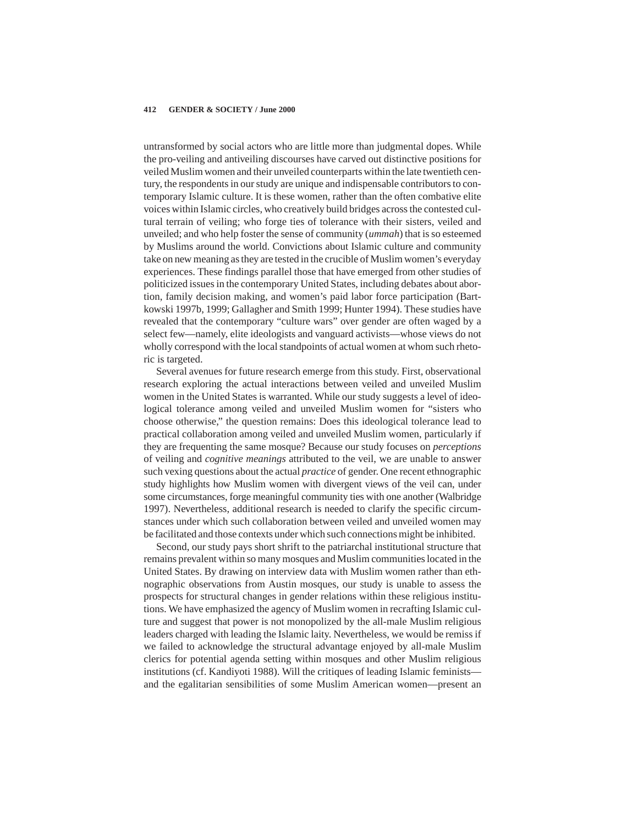untransformed by social actors who are little more than judgmental dopes. While the pro-veiling and antiveiling discourses have carved out distinctive positions for veiled Muslim women and their unveiled counterparts within the late twentieth century, the respondents in our study are unique and indispensable contributors to contemporary Islamic culture. It is these women, rather than the often combative elite voices within Islamic circles, who creatively build bridges across the contested cultural terrain of veiling; who forge ties of tolerance with their sisters, veiled and unveiled; and who help foster the sense of community (*ummah*) that is so esteemed by Muslims around the world. Convictions about Islamic culture and community take on new meaning as they are tested in the crucible of Muslim women's everyday experiences. These findings parallel those that have emerged from other studies of politicized issues in the contemporary United States, including debates about abortion, family decision making, and women's paid labor force participation (Bartkowski 1997b, 1999; Gallagher and Smith 1999; Hunter 1994). These studies have revealed that the contemporary "culture wars" over gender are often waged by a select few—namely, elite ideologists and vanguard activists—whose views do not wholly correspond with the local standpoints of actual women at whom such rhetoric is targeted.

Several avenues for future research emerge from this study. First, observational research exploring the actual interactions between veiled and unveiled Muslim women in the United States is warranted. While our study suggests a level of ideological tolerance among veiled and unveiled Muslim women for "sisters who choose otherwise," the question remains: Does this ideological tolerance lead to practical collaboration among veiled and unveiled Muslim women, particularly if they are frequenting the same mosque? Because our study focuses on *perceptions* of veiling and *cognitive meanings* attributed to the veil, we are unable to answer such vexing questions about the actual *practice* of gender. One recent ethnographic study highlights how Muslim women with divergent views of the veil can, under some circumstances, forge meaningful community ties with one another (Walbridge 1997). Nevertheless, additional research is needed to clarify the specific circumstances under which such collaboration between veiled and unveiled women may be facilitated and those contexts under which such connections might be inhibited.

Second, our study pays short shrift to the patriarchal institutional structure that remains prevalent within so many mosques and Muslim communities located in the United States. By drawing on interview data with Muslim women rather than ethnographic observations from Austin mosques, our study is unable to assess the prospects for structural changes in gender relations within these religious institutions. We have emphasized the agency of Muslim women in recrafting Islamic culture and suggest that power is not monopolized by the all-male Muslim religious leaders charged with leading the Islamic laity. Nevertheless, we would be remiss if we failed to acknowledge the structural advantage enjoyed by all-male Muslim clerics for potential agenda setting within mosques and other Muslim religious institutions (cf. Kandiyoti 1988). Will the critiques of leading Islamic feminists and the egalitarian sensibilities of some Muslim American women—present an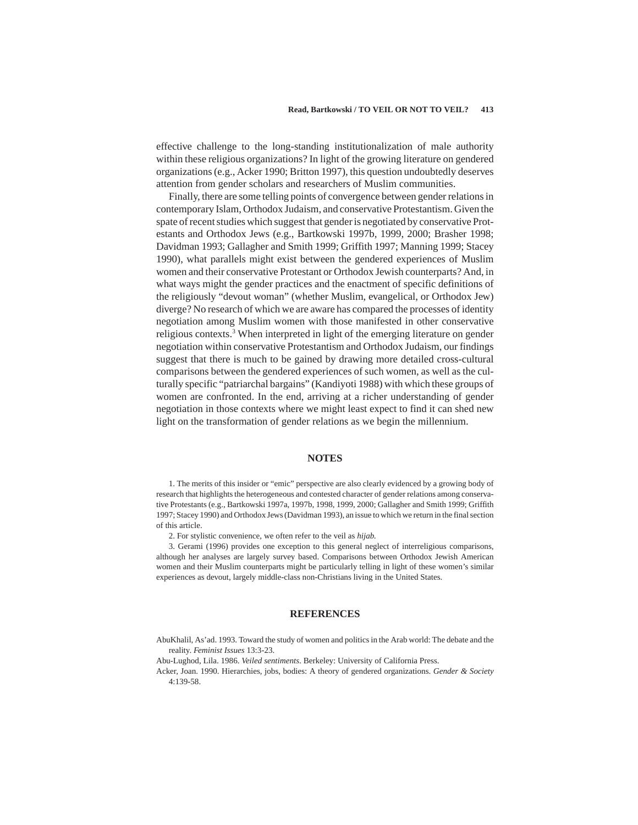effective challenge to the long-standing institutionalization of male authority within these religious organizations? In light of the growing literature on gendered organizations (e.g., Acker 1990; Britton 1997), this question undoubtedly deserves attention from gender scholars and researchers of Muslim communities.

Finally, there are some telling points of convergence between gender relations in contemporary Islam, Orthodox Judaism, and conservative Protestantism. Given the spate of recent studies which suggest that gender is negotiated by conservative Protestants and Orthodox Jews (e.g., Bartkowski 1997b, 1999, 2000; Brasher 1998; Davidman 1993; Gallagher and Smith 1999; Griffith 1997; Manning 1999; Stacey 1990), what parallels might exist between the gendered experiences of Muslim women and their conservative Protestant or Orthodox Jewish counterparts? And, in what ways might the gender practices and the enactment of specific definitions of the religiously "devout woman" (whether Muslim, evangelical, or Orthodox Jew) diverge? No research of which we are aware has compared the processes of identity negotiation among Muslim women with those manifested in other conservative religious contexts.3 When interpreted in light of the emerging literature on gender negotiation within conservative Protestantism and Orthodox Judaism, our findings suggest that there is much to be gained by drawing more detailed cross-cultural comparisons between the gendered experiences of such women, as well as the culturally specific "patriarchal bargains" (Kandiyoti 1988) with which these groups of women are confronted. In the end, arriving at a richer understanding of gender negotiation in those contexts where we might least expect to find it can shed new light on the transformation of gender relations as we begin the millennium.

# **NOTES**

1. The merits of this insider or "emic" perspective are also clearly evidenced by a growing body of research that highlights the heterogeneous and contested character of gender relations among conservative Protestants (e.g., Bartkowski 1997a, 1997b, 1998, 1999, 2000; Gallagher and Smith 1999; Griffith 1997; Stacey 1990) and Orthodox Jews (Davidman 1993), an issue to which we return in the final section of this article.

2. For stylistic convenience, we often refer to the veil as *hijab*.

3. Gerami (1996) provides one exception to this general neglect of interreligious comparisons, although her analyses are largely survey based. Comparisons between Orthodox Jewish American women and their Muslim counterparts might be particularly telling in light of these women's similar experiences as devout, largely middle-class non-Christians living in the United States.

# **REFERENCES**

- AbuKhalil, As'ad. 1993. Toward the study of women and politics in the Arab world: The debate and the reality. *Feminist Issues* 13:3-23.
- Abu-Lughod, Lila. 1986. *Veiled sentiments*. Berkeley: University of California Press.

Acker, Joan. 1990. Hierarchies, jobs, bodies: A theory of gendered organizations. *Gender & Society* 4:139-58.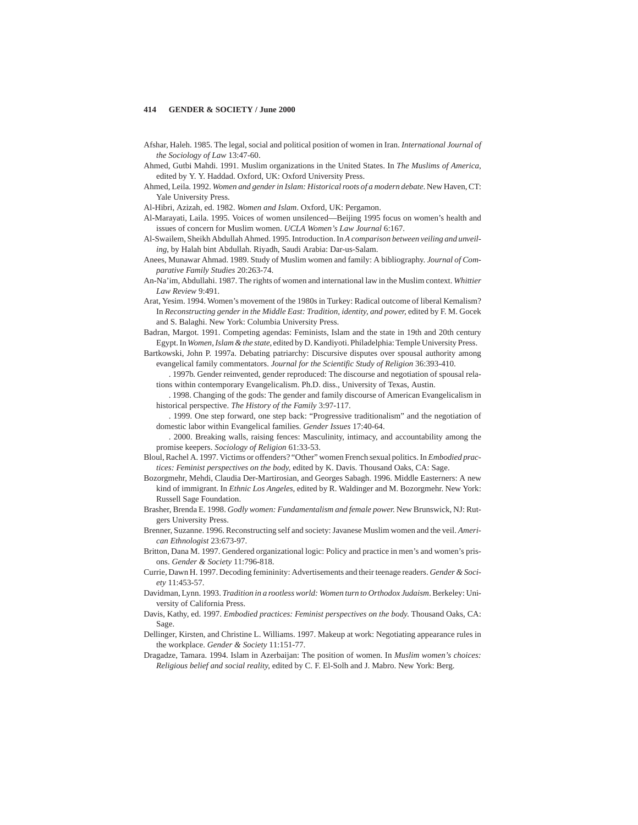Afshar, Haleh. 1985. The legal, social and political position of women in Iran. *International Journal of the Sociology of Law* 13:47-60.

Ahmed, Gutbi Mahdi. 1991. Muslim organizations in the United States. In *The Muslims of America*, edited by Y. Y. Haddad. Oxford, UK: Oxford University Press.

Ahmed, Leila. 1992. *Women and gender in Islam: Historical roots of a modern debate*. New Haven, CT: Yale University Press.

Al-Hibri, Azizah, ed. 1982. *Women and Islam*. Oxford, UK: Pergamon.

- Al-Marayati, Laila. 1995. Voices of women unsilenced—Beijing 1995 focus on women's health and issues of concern for Muslim women. *UCLA Women's Law Journal* 6:167.
- Al-Swailem, Sheikh Abdullah Ahmed. 1995. Introduction. In *A comparison between veiling and unveiling*, by Halah bint Abdullah. Riyadh, Saudi Arabia: Dar-us-Salam.
- Anees, Munawar Ahmad. 1989. Study of Muslim women and family: A bibliography. *Journal of Comparative Family Studies* 20:263-74.
- An-Na'im, Abdullahi. 1987. The rights of women and international law in the Muslim context. *Whittier Law Review* 9:491.
- Arat, Yesim. 1994. Women's movement of the 1980s in Turkey: Radical outcome of liberal Kemalism? In *Reconstructing gender in the Middle East: Tradition, identity, and power*, edited by F. M. Gocek and S. Balaghi. New York: Columbia University Press.
- Badran, Margot. 1991. Competing agendas: Feminists, Islam and the state in 19th and 20th century Egypt. In *Women, Islam & the state*, edited by D. Kandiyoti. Philadelphia: Temple University Press.
- Bartkowski, John P. 1997a. Debating patriarchy: Discursive disputes over spousal authority among evangelical family commentators. *Journal for the Scientific Study of Religion* 36:393-410.
- . 1997b. Gender reinvented, gender reproduced: The discourse and negotiation of spousal relations within contemporary Evangelicalism. Ph.D. diss., University of Texas, Austin.
- . 1998. Changing of the gods: The gender and family discourse of American Evangelicalism in historical perspective. *The History of the Family* 3:97-117.
- . 1999. One step forward, one step back: "Progressive traditionalism" and the negotiation of domestic labor within Evangelical families. *Gender Issues* 17:40-64.
- . 2000. Breaking walls, raising fences: Masculinity, intimacy, and accountability among the promise keepers. *Sociology of Religion* 61:33-53.
- Bloul, Rachel A. 1997. Victims or offenders? "Other" women French sexual politics. In *Embodied practices: Feminist perspectives on the body*, edited by K. Davis. Thousand Oaks, CA: Sage.
- Bozorgmehr, Mehdi, Claudia Der-Martirosian, and Georges Sabagh. 1996. Middle Easterners: A new kind of immigrant. In *Ethnic Los Angeles*, edited by R. Waldinger and M. Bozorgmehr. New York: Russell Sage Foundation.
- Brasher, Brenda E. 1998. *Godly women: Fundamentalism and female power*. New Brunswick, NJ: Rutgers University Press.
- Brenner, Suzanne. 1996. Reconstructing self and society: Javanese Muslim women and the veil. *American Ethnologist* 23:673-97.
- Britton, Dana M. 1997. Gendered organizational logic: Policy and practice in men's and women's prisons. *Gender & Society* 11:796-818.
- Currie, Dawn H. 1997. Decoding femininity: Advertisements and their teenage readers. *Gender & Society* 11:453-57.
- Davidman, Lynn. 1993. *Tradition in a rootless world: Women turn to Orthodox Judaism*. Berkeley: University of California Press.
- Davis, Kathy, ed. 1997. *Embodied practices: Feminist perspectives on the body*. Thousand Oaks, CA: Sage.
- Dellinger, Kirsten, and Christine L. Williams. 1997. Makeup at work: Negotiating appearance rules in the workplace. *Gender & Society* 11:151-77.
- Dragadze, Tamara. 1994. Islam in Azerbaijan: The position of women. In *Muslim women's choices: Religious belief and social reality*, edited by C. F. El-Solh and J. Mabro. New York: Berg.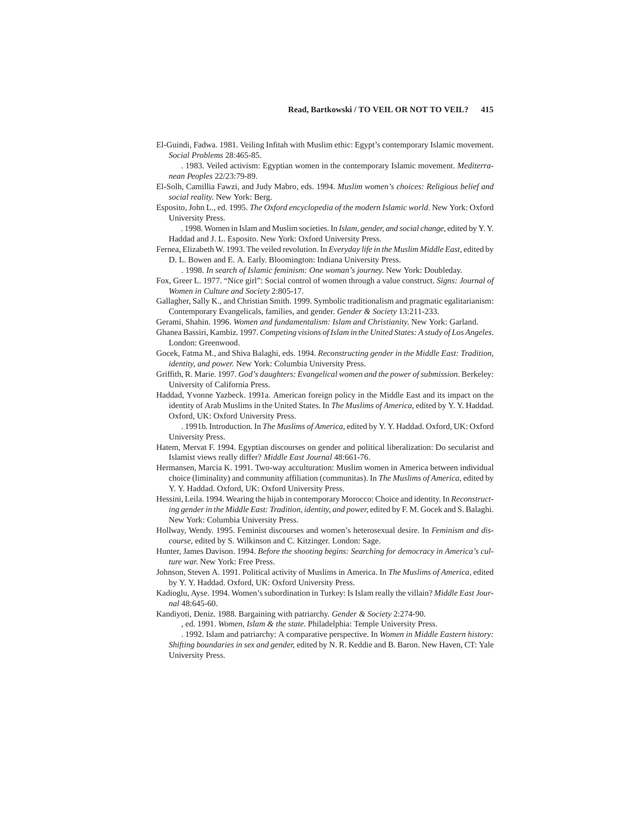El-Guindi, Fadwa. 1981. Veiling Infitah with Muslim ethic: Egypt's contemporary Islamic movement. *Social Problems* 28:465-85.

. 1983. Veiled activism: Egyptian women in the contemporary Islamic movement. *Mediterranean Peoples* 22/23:79-89.

- El-Solh, Camillia Fawzi, and Judy Mabro, eds. 1994. *Muslim women's choices: Religious belief and social reality*. New York: Berg.
- Esposito, John L., ed. 1995. *The Oxford encyclopedia of the modern Islamic world*. New York: Oxford University Press.

. 1998. Women in Islam and Muslim societies. In *Islam, gender, and social change*, edited by Y. Y. Haddad and J. L. Esposito. New York: Oxford University Press.

Fernea, Elizabeth W. 1993. The veiled revolution. In *Everyday life in the Muslim Middle East*, edited by D. L. Bowen and E. A. Early. Bloomington: Indiana University Press.

. 1998. *In search of Islamic feminism: One woman's journey*. New York: Doubleday.

Fox, Greer L. 1977. "Nice girl": Social control of women through a value construct. *Signs: Journal of Women in Culture and Society* 2:805-17.

Gallagher, Sally K., and Christian Smith. 1999. Symbolic traditionalism and pragmatic egalitarianism: Contemporary Evangelicals, families, and gender. *Gender & Society* 13:211-233.

Gerami, Shahin. 1996. *Women and fundamentalism: Islam and Christianity*. New York: Garland.

Ghanea Bassiri, Kambiz. 1997. *Competing visions of Islam in the United States: A study of Los Angeles*. London: Greenwood.

Gocek, Fatma M., and Shiva Balaghi, eds. 1994. *Reconstructing gender in the Middle East: Tradition, identity, and power*. New York: Columbia University Press.

Griffith, R. Marie. 1997. *God's daughters: Evangelical women and the power of submission*. Berkeley: University of California Press.

Haddad, Yvonne Yazbeck. 1991a. American foreign policy in the Middle East and its impact on the identity of Arab Muslims in the United States. In *The Muslims of America*, edited by Y. Y. Haddad. Oxford, UK: Oxford University Press.

. 1991b. Introduction. In *The Muslims of America*, edited by Y. Y. Haddad. Oxford, UK: Oxford University Press.

- Hatem, Mervat F. 1994. Egyptian discourses on gender and political liberalization: Do secularist and Islamist views really differ? *Middle East Journal* 48:661-76.
- Hermansen, Marcia K. 1991. Two-way acculturation: Muslim women in America between individual choice (liminality) and community affiliation (communitas). In *The Muslims of America*, edited by Y. Y. Haddad. Oxford, UK: Oxford University Press.
- Hessini, Leila. 1994. Wearing the hijab in contemporary Morocco: Choice and identity. In *Reconstructing gender in the Middle East: Tradition, identity, and power*, edited by F. M. Gocek and S. Balaghi. New York: Columbia University Press.
- Hollway, Wendy. 1995. Feminist discourses and women's heterosexual desire. In *Feminism and discourse*, edited by S. Wilkinson and C. Kitzinger. London: Sage.

Hunter, James Davison. 1994. *Before the shooting begins: Searching for democracy in America's culture war*. New York: Free Press.

- Johnson, Steven A. 1991. Political activity of Muslims in America. In *The Muslims of America*, edited by Y. Y. Haddad. Oxford, UK: Oxford University Press.
- Kadioglu, Ayse. 1994. Women's subordination in Turkey: Is Islam really the villain? *Middle East Journal* 48:645-60.
- Kandiyoti, Deniz. 1988. Bargaining with patriarchy. *Gender & Society* 2:274-90.

, ed. 1991. *Women, Islam & the state*. Philadelphia: Temple University Press.

. 1992. Islam and patriarchy: A comparative perspective. In *Women in Middle Eastern history: Shifting boundaries in sex and gender*, edited by N. R. Keddie and B. Baron. New Haven, CT: Yale University Press.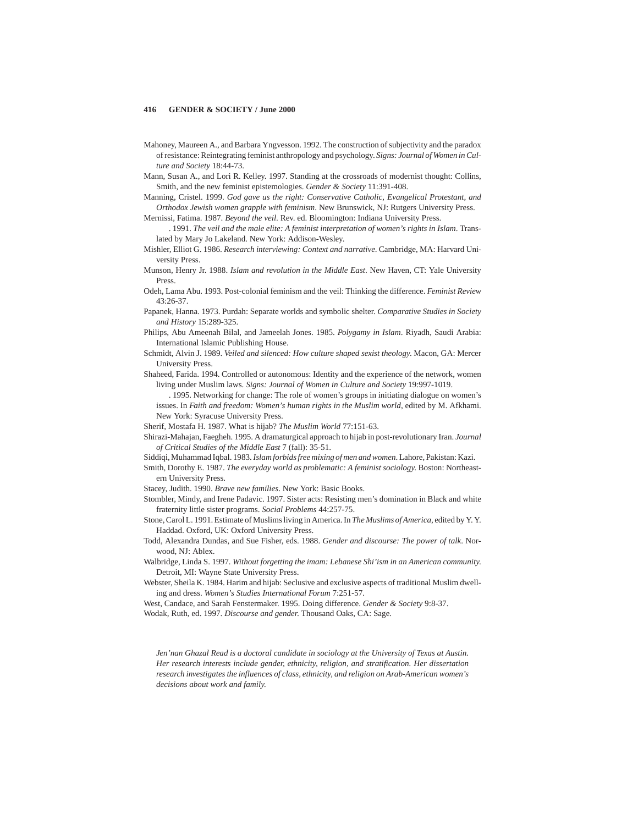- Mahoney, Maureen A., and Barbara Yngvesson. 1992. The construction of subjectivity and the paradox of resistance: Reintegrating feminist anthropology and psychology. *Signs: Journal of Women in Culture and Society* 18:44-73.
- Mann, Susan A., and Lori R. Kelley. 1997. Standing at the crossroads of modernist thought: Collins, Smith, and the new feminist epistemologies. *Gender & Society* 11:391-408.
- Manning, Cristel. 1999. *God gave us the right: Conservative Catholic, Evangelical Protestant, and Orthodox Jewish women grapple with feminism*. New Brunswick, NJ: Rutgers University Press.
- Mernissi, Fatima. 1987. *Beyond the veil*. Rev. ed. Bloomington: Indiana University Press.
- . 1991. *The veil and the male elite: A feminist interpretation of women's rights in Islam*. Translated by Mary Jo Lakeland. New York: Addison-Wesley.
- Mishler, Elliot G. 1986. *Research interviewing: Context and narrative*. Cambridge, MA: Harvard University Press.
- Munson, Henry Jr. 1988. *Islam and revolution in the Middle East*. New Haven, CT: Yale University Press.
- Odeh, Lama Abu. 1993. Post-colonial feminism and the veil: Thinking the difference. *Feminist Review*  $43.26 - 37$
- Papanek, Hanna. 1973. Purdah: Separate worlds and symbolic shelter. *Comparative Studies in Society and History* 15:289-325.
- Philips, Abu Ameenah Bilal, and Jameelah Jones. 1985. *Polygamy in Islam*. Riyadh, Saudi Arabia: International Islamic Publishing House.
- Schmidt, Alvin J. 1989. *Veiled and silenced: How culture shaped sexist theology*. Macon, GA: Mercer University Press.
- Shaheed, Farida. 1994. Controlled or autonomous: Identity and the experience of the network, women living under Muslim laws. *Signs: Journal of Women in Culture and Society* 19:997-1019.
- . 1995. Networking for change: The role of women's groups in initiating dialogue on women's issues. In *Faith and freedom: Women's human rights in the Muslim world*, edited by M. Afkhami. New York: Syracuse University Press.
- Sherif, Mostafa H. 1987. What is hijab? *The Muslim World* 77:151-63.
- Shirazi-Mahajan, Faegheh. 1995. A dramaturgical approach to hijab in post-revolutionary Iran. *Journal of Critical Studies of the Middle East* 7 (fall): 35-51.
- Siddiqi, Muhammad Iqbal. 1983.*Islam forbids free mixing of men and women*. Lahore, Pakistan: Kazi.
- Smith, Dorothy E. 1987. *The everyday world as problematic: A feminist sociology*. Boston: Northeastern University Press.
- Stacey, Judith. 1990. *Brave new families*. New York: Basic Books.
- Stombler, Mindy, and Irene Padavic. 1997. Sister acts: Resisting men's domination in Black and white fraternity little sister programs. *Social Problems* 44:257-75.
- Stone, Carol L. 1991. Estimate of Muslims living in America. In *The Muslims of America*, edited by Y. Y. Haddad. Oxford, UK: Oxford University Press.
- Todd, Alexandra Dundas, and Sue Fisher, eds. 1988. *Gender and discourse: The power of talk*. Norwood, NJ: Ablex.
- Walbridge, Linda S. 1997. *Without forgetting the imam: Lebanese Shi'ism in an American community*. Detroit, MI: Wayne State University Press.
- Webster, Sheila K. 1984. Harim and hijab: Seclusive and exclusive aspects of traditional Muslim dwelling and dress. *Women's Studies International Forum* 7:251-57.
- West, Candace, and Sarah Fenstermaker. 1995. Doing difference. *Gender & Society* 9:8-37.
- Wodak, Ruth, ed. 1997. *Discourse and gender*. Thousand Oaks, CA: Sage.

*Jen'nan Ghazal Read is a doctoral candidate in sociology at the University of Texas at Austin. Her research interests include gender, ethnicity, religion, and stratification. Her dissertation research investigates the influences of class, ethnicity, and religion on Arab-American women's decisions about work and family.*